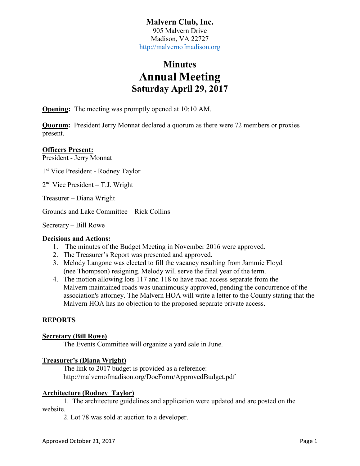# **Minutes Annual Meeting Saturday April 29, 2017**

**Opening:** The meeting was promptly opened at 10:10 AM.

**Quorum:** President Jerry Monnat declared a quorum as there were 72 members or proxies present.

# **Officers Present:**

President - Jerry Monnat

1st Vice President - Rodney Taylor

2nd Vice President – T.J. Wright

Treasurer – Diana Wright

Grounds and Lake Committee – Rick Collins

Secretary – Bill Rowe

# **Decisions and Actions:**

- 1. The minutes of the Budget Meeting in November 2016 were approved.
- 2. The Treasurer's Report was presented and approved.
- 3. Melody Langone was elected to fill the vacancy resulting from Jammie Floyd (nee Thompson) resigning. Melody will serve the final year of the term.
- 4. The motion allowing lots 117 and 118 to have road access separate from the Malvern maintained roads was unanimously approved, pending the concurrence of the association's attorney. The Malvern HOA will write a letter to the County stating that the Malvern HOA has no objection to the proposed separate private access.

# **REPORTS**

#### **Secretary (Bill Rowe)**

The Events Committee will organize a yard sale in June.

# **Treasurer's (Diana Wright)**

The link to 2017 budget is provided as a reference: http://malvernofmadison.org/DocForm/ApprovedBudget.pdf

# **Architecture (Rodney Taylor)**

1. The architecture guidelines and application were updated and are posted on the website.

2. Lot 78 was sold at auction to a developer.